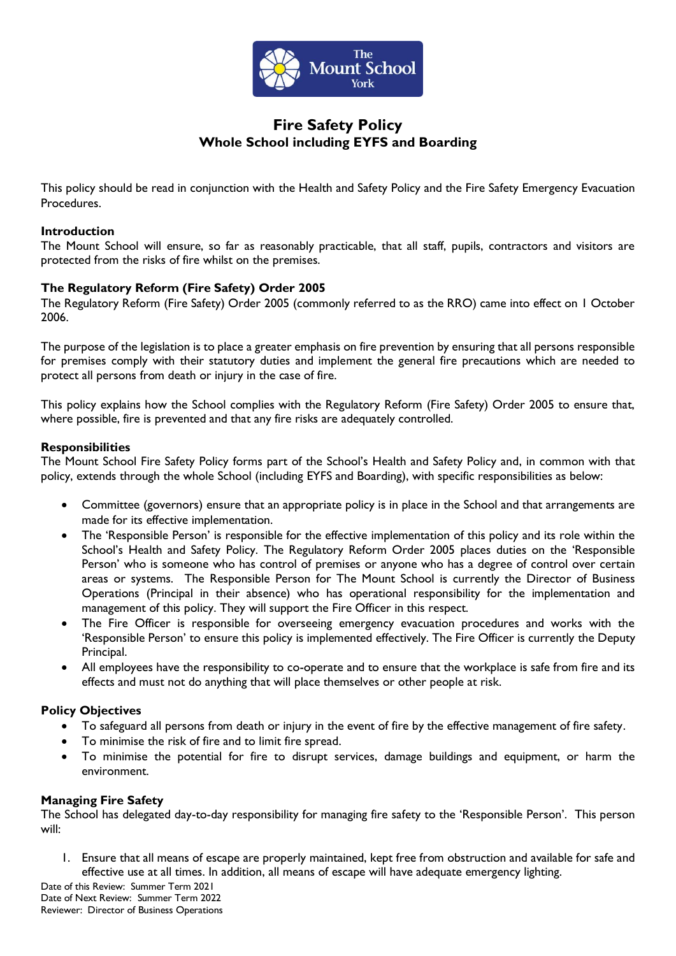

# **Fire Safety Policy Whole School including EYFS and Boarding**

This policy should be read in conjunction with the Health and Safety Policy and the Fire Safety Emergency Evacuation Procedures.

#### **Introduction**

The Mount School will ensure, so far as reasonably practicable, that all staff, pupils, contractors and visitors are protected from the risks of fire whilst on the premises.

# **The Regulatory Reform (Fire Safety) Order 2005**

The Regulatory Reform (Fire Safety) Order 2005 (commonly referred to as the RRO) came into effect on 1 October 2006.

The purpose of the legislation is to place a greater emphasis on fire prevention by ensuring that all persons responsible for premises comply with their statutory duties and implement the general fire precautions which are needed to protect all persons from death or injury in the case of fire.

This policy explains how the School complies with the Regulatory Reform (Fire Safety) Order 2005 to ensure that, where possible, fire is prevented and that any fire risks are adequately controlled.

## **Responsibilities**

The Mount School Fire Safety Policy forms part of the School's Health and Safety Policy and, in common with that policy, extends through the whole School (including EYFS and Boarding), with specific responsibilities as below:

- Committee (governors) ensure that an appropriate policy is in place in the School and that arrangements are made for its effective implementation.
- The 'Responsible Person' is responsible for the effective implementation of this policy and its role within the School's Health and Safety Policy. The Regulatory Reform Order 2005 places duties on the 'Responsible Person' who is someone who has control of premises or anyone who has a degree of control over certain areas or systems. The Responsible Person for The Mount School is currently the Director of Business Operations (Principal in their absence) who has operational responsibility for the implementation and management of this policy. They will support the Fire Officer in this respect.
- The Fire Officer is responsible for overseeing emergency evacuation procedures and works with the 'Responsible Person' to ensure this policy is implemented effectively. The Fire Officer is currently the Deputy Principal.
- All employees have the responsibility to co-operate and to ensure that the workplace is safe from fire and its effects and must not do anything that will place themselves or other people at risk.

# **Policy Objectives**

- To safeguard all persons from death or injury in the event of fire by the effective management of fire safety.
- To minimise the risk of fire and to limit fire spread.
- To minimise the potential for fire to disrupt services, damage buildings and equipment, or harm the environment.

#### **Managing Fire Safety**

The School has delegated day-to-day responsibility for managing fire safety to the 'Responsible Person'. This person will:

1. Ensure that all means of escape are properly maintained, kept free from obstruction and available for safe and effective use at all times. In addition, all means of escape will have adequate emergency lighting.

Date of this Review: Summer Term 2021 Date of Next Review: Summer Term 2022 Reviewer: Director of Business Operations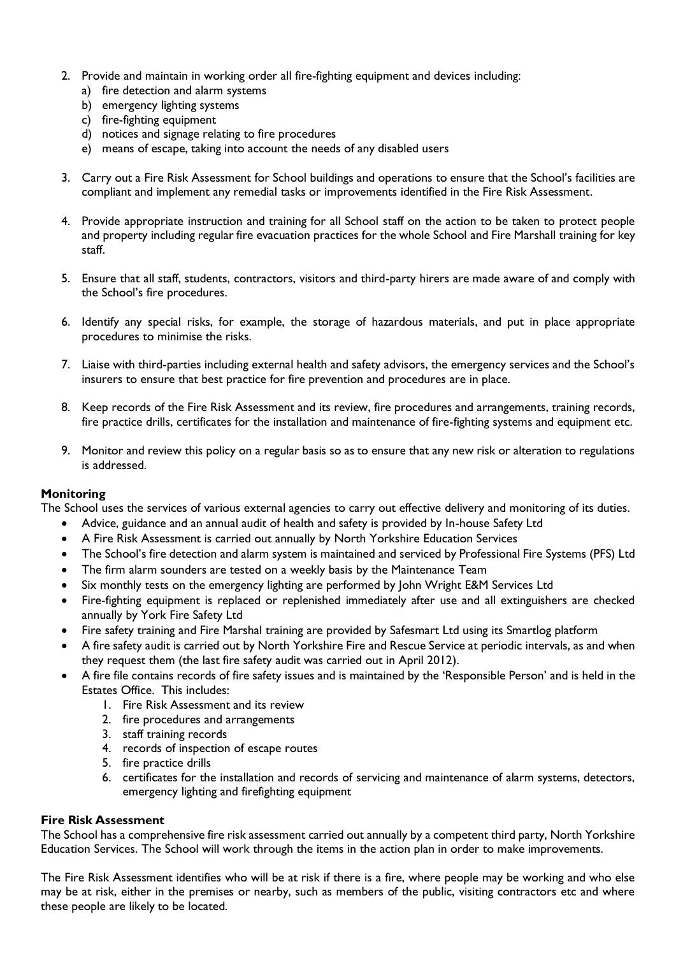- 2. Provide and maintain in working order all fire-fighting equipment and devices including:
	- a) fire detection and alarm systems
	- b) emergency lighting systems
	- c) fire-fighting equipment
	- d) notices and signage relating to fire procedures
	- e) means of escape, taking into account the needs of any disabled users
- 3. Carry out a Fire Risk Assessment for School buildings and operations to ensure that the School's facilities are compliant and implement any remedial tasks or improvements identified in the Fire Risk Assessment.
- 4. Provide appropriate instruction and training for all School staff on the action to be taken to protect people and property including regular fire evacuation practices for the whole School and Fire Marshall training for key staff.
- 5. Ensure that all staff, students, contractors, visitors and third-party hirers are made aware of and comply with the School's fire procedures.
- 6. Identify any special risks, for example, the storage of hazardous materials, and put in place appropriate procedures to minimise the risks.
- 7. Liaise with third-parties including external health and safety advisors, the emergency services and the School's insurers to ensure that best practice for fire prevention and procedures are in place.
- 8. Keep records of the Fire Risk Assessment and its review, fire procedures and arrangements, training records, fire practice drills, certificates for the installation and maintenance of fire-fighting systems and equipment etc.
- 9. Monitor and review this policy on a regular basis so as to ensure that any new risk or alteration to regulations is addressed.

#### **Monitoring**

The School uses the services of various external agencies to carry out effective delivery and monitoring of its duties.

- Advice, guidance and an annual audit of health and safety is provided by In-house Safety Ltd
- A Fire Risk Assessment is carried out annually by North Yorkshire Education Services
- The School's fire detection and alarm system is maintained and serviced by Professional Fire Systems (PFS) Ltd
- The firm alarm sounders are tested on a weekly basis by the Maintenance Team
- Six monthly tests on the emergency lighting are performed by John Wright E&M Services Ltd
- Fire-fighting equipment is replaced or replenished immediately after use and all extinguishers are checked annually by York Fire Safety Ltd
- Fire safety training and Fire Marshal training are provided by Safesmart Ltd using its Smartlog platform
- A fire safety audit is carried out by North Yorkshire Fire and Rescue Service at periodic intervals, as and when they request them (the last fire safety audit was carried out in April 2012).
- A fire file contains records of fire safety issues and is maintained by the 'Responsible Person' and is held in the Estates Office. This includes:
	- 1. Fire Risk Assessment and its review
	- 2. fire procedures and arrangements
	- 3. staff training records
	- 4. records of inspection of escape routes
	- 5. fire practice drills
	- 6. certificates for the installation and records of servicing and maintenance of alarm systems, detectors, emergency lighting and firefighting equipment

#### **Fire Risk Assessment**

The School has a comprehensive fire risk assessment carried out annually by a competent third party, North Yorkshire Education Services. The School will work through the items in the action plan in order to make improvements.

The Fire Risk Assessment identifies who will be at risk if there is a fire, where people may be working and who else may be at risk, either in the premises or nearby, such as members of the public, visiting contractors etc and where these people are likely to be located.